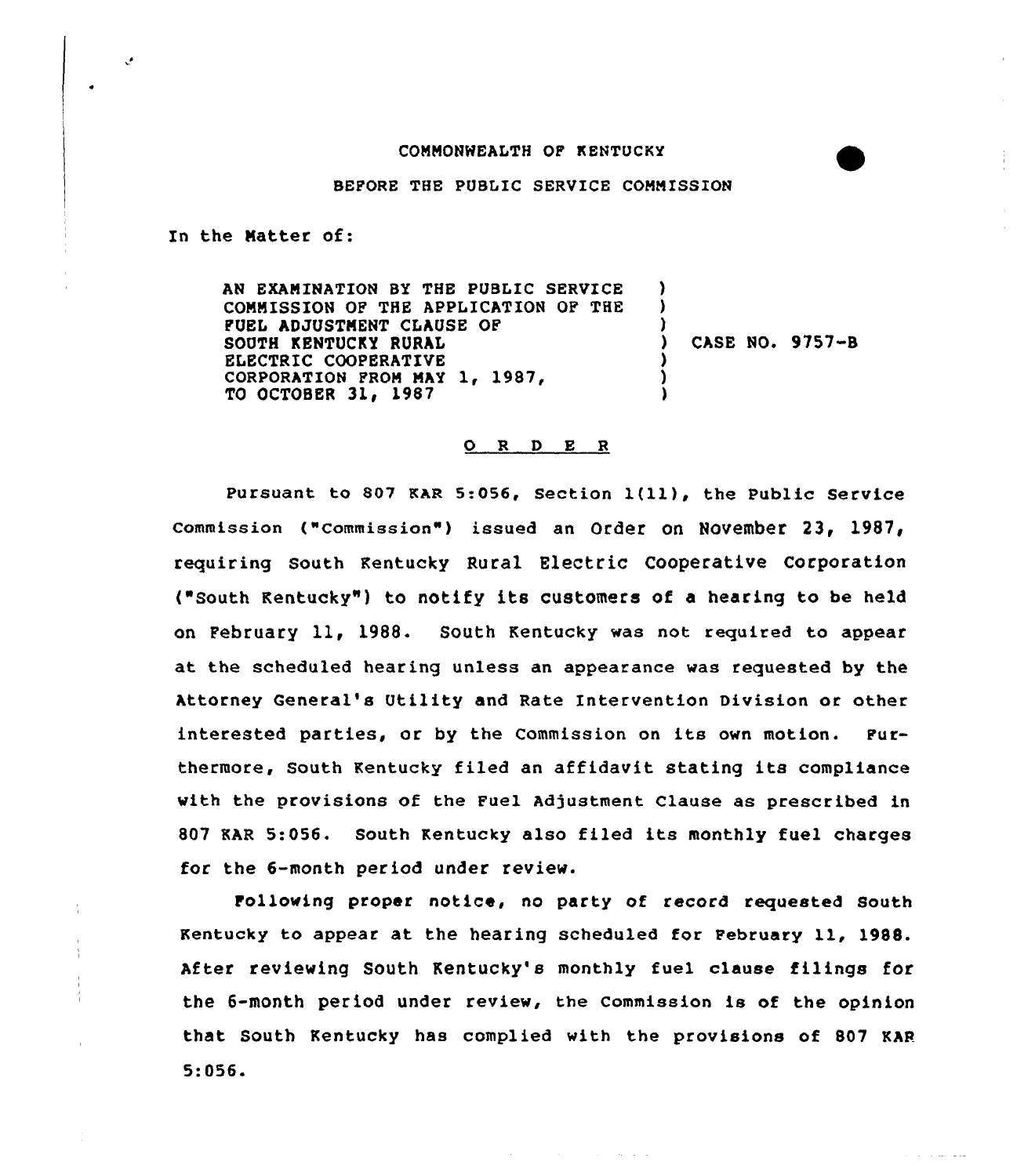## CONNONNEALTH OF KENTUCKY

BEFORE THE PUBLIC SERVICE CONNISSION

In the Natter of:

 $\cdot$ 

AN EXANINATION BY THE PUBLIC SERVICE CONNISSION OF THE APPLICATION OF THE FUEL ADJUSTNENT CLAUSE OF SOUTH KENTUCKY RURAL ELECTRIC COOPERATIVE CORPORATION FROM MAY 1, 1987, TO OCTOBER 31, 1987 ) ) ) CASE NO. 9757-B ) ) )

## O R D E R

pursuant to <sup>807</sup> KAR 5:056, section 1(ll), the Public service Commission ("Commission") issued an Order on November 23, 1987, requiring South Kentucky Rural Electric Cooperative Corporation ("South Kentucky" ) to notify its customers of <sup>a</sup> hearing to be held on February 11, 1988. South Kentucky was not required to appear at the scheduled hearing unless an appearance was requested by the Attorney General's Utility and Rate Intervention Division or other interested parties, or by the Commission on its own motion. Furthermore, South Kentucky filed an affidavit stating its compliance with the provisions of the Fuel Adjustment Clause as prescribed in 807 KAR 5:056. South Kentucky also filed its monthly fuel charges for the 6-month period under review.

Following proper notice, no party of record requested South Kentucky to appear at the hearing scheduled for February ll, 1988. After reviewing South Kentucky's monthly fuel clause filings for the 6-month period under review, the Commission ie of the opinion that South Kentucky has complied with the provisions of 807 KAR 5:056.